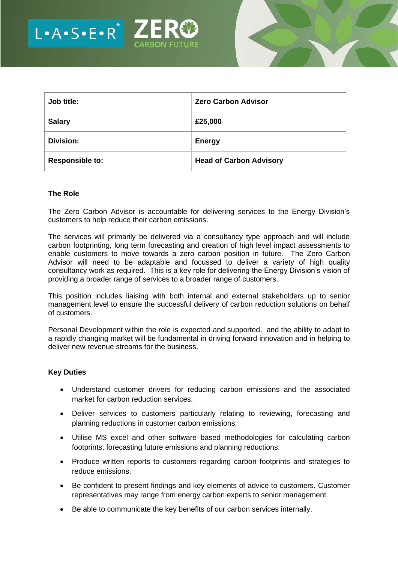



| Job title:             | <b>Zero Carbon Advisor</b>     |
|------------------------|--------------------------------|
| <b>Salary</b>          | £25,000                        |
| Division:              | <b>Energy</b>                  |
| <b>Responsible to:</b> | <b>Head of Carbon Advisory</b> |

## **The Role**

The Zero Carbon Advisor is accountable for delivering services to the Energy Division's customers to help reduce their carbon emissions.

The services will primarily be delivered via a consultancy type approach and will include carbon footprinting, long term forecasting and creation of high level impact assessments to enable customers to move towards a zero carbon position in future. The Zero Carbon Advisor will need to be adaptable and focussed to deliver a variety of high quality consultancy work as required. This is a key role for delivering the Energy Division's vision of providing a broader range of services to a broader range of customers.

This position includes liaising with both internal and external stakeholders up to senior management level to ensure the successful delivery of carbon reduction solutions on behalf of customers.

Personal Development within the role is expected and supported, and the ability to adapt to a rapidly changing market will be fundamental in driving forward innovation and in helping to deliver new revenue streams for the business.

#### **Key Duties**

- Understand customer drivers for reducing carbon emissions and the associated market for carbon reduction services.
- Deliver services to customers particularly relating to reviewing, forecasting and planning reductions in customer carbon emissions.
- Utilise MS excel and other software based methodologies for calculating carbon footprints, forecasting future emissions and planning reductions.
- Produce written reports to customers regarding carbon footprints and strategies to reduce emissions.
- Be confident to present findings and key elements of advice to customers. Customer representatives may range from energy carbon experts to senior management.
- Be able to communicate the key benefits of our carbon services internally.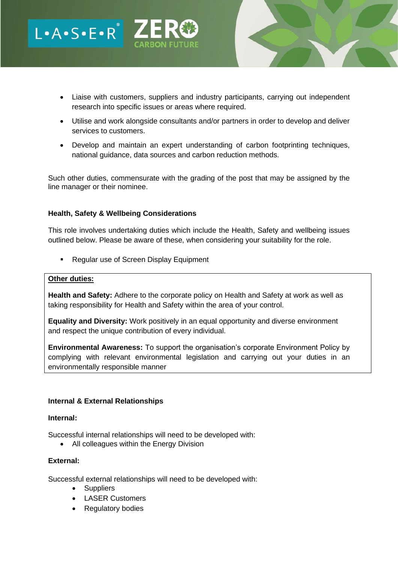- Liaise with customers, suppliers and industry participants, carrying out independent research into specific issues or areas where required.
- Utilise and work alongside consultants and/or partners in order to develop and deliver services to customers.
- Develop and maintain an expert understanding of carbon footprinting techniques, national guidance, data sources and carbon reduction methods.

Such other duties, commensurate with the grading of the post that may be assigned by the line manager or their nominee.

## **Health, Safety & Wellbeing Considerations**

 $L A \cdot S \cdot E \cdot R^*$   $Z_{cap}$ 

This role involves undertaking duties which include the Health, Safety and wellbeing issues outlined below. Please be aware of these, when considering your suitability for the role.

■ Regular use of Screen Display Equipment

### **Other duties:**

**Health and Safety:** Adhere to the corporate policy on Health and Safety at work as well as taking responsibility for Health and Safety within the area of your control.

**Equality and Diversity:** Work positively in an equal opportunity and diverse environment and respect the unique contribution of every individual.

**Environmental Awareness:** To support the organisation's corporate Environment Policy by complying with relevant environmental legislation and carrying out your duties in an environmentally responsible manner

## **Internal & External Relationships**

#### **Internal:**

Successful internal relationships will need to be developed with:

• All colleagues within the Energy Division

#### **External:**

Successful external relationships will need to be developed with:

- Suppliers
- LASER Customers
- Regulatory bodies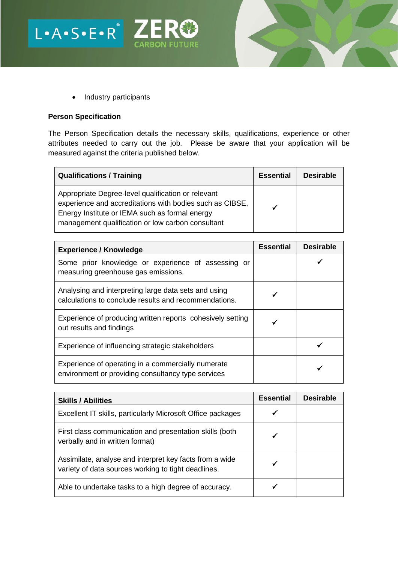

L.A.S.E.R<sup>'</sup> ZER<sup>®</sup>

# **Person Specification**

The Person Specification details the necessary skills, qualifications, experience or other attributes needed to carry out the job. Please be aware that your application will be measured against the criteria published below.

**CARBON FUTURE** 

| <b>Qualifications / Training</b>                                                                                                                                                                                      | <b>Essential</b> | <b>Desirable</b> |
|-----------------------------------------------------------------------------------------------------------------------------------------------------------------------------------------------------------------------|------------------|------------------|
| Appropriate Degree-level qualification or relevant<br>experience and accreditations with bodies such as CIBSE,<br>Energy Institute or IEMA such as formal energy<br>management qualification or low carbon consultant | ✔                |                  |

| <b>Experience / Knowledge</b>                                                                                 | <b>Essential</b> | <b>Desirable</b> |
|---------------------------------------------------------------------------------------------------------------|------------------|------------------|
| Some prior knowledge or experience of assessing or<br>measuring greenhouse gas emissions.                     |                  |                  |
| Analysing and interpreting large data sets and using<br>calculations to conclude results and recommendations. |                  |                  |
| Experience of producing written reports cohesively setting<br>out results and findings                        |                  |                  |
| Experience of influencing strategic stakeholders                                                              |                  |                  |
| Experience of operating in a commercially numerate<br>environment or providing consultancy type services      |                  |                  |

| <b>Skills / Abilities</b>                                                                                      | <b>Essential</b> | <b>Desirable</b> |
|----------------------------------------------------------------------------------------------------------------|------------------|------------------|
| Excellent IT skills, particularly Microsoft Office packages                                                    |                  |                  |
| First class communication and presentation skills (both<br>verbally and in written format)                     |                  |                  |
| Assimilate, analyse and interpret key facts from a wide<br>variety of data sources working to tight deadlines. |                  |                  |
| Able to undertake tasks to a high degree of accuracy.                                                          |                  |                  |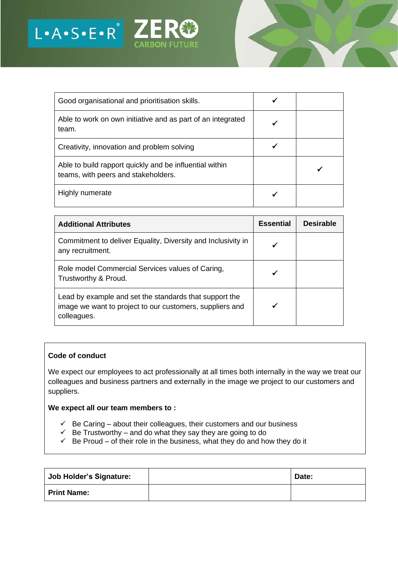

| Good organisational and prioritisation skills.                                                 |  |
|------------------------------------------------------------------------------------------------|--|
| Able to work on own initiative and as part of an integrated<br>team.                           |  |
| Creativity, innovation and problem solving                                                     |  |
| Able to build rapport quickly and be influential within<br>teams, with peers and stakeholders. |  |
| Highly numerate                                                                                |  |

| <b>Additional Attributes</b>                                                                                                      | <b>Essential</b> | <b>Desirable</b> |
|-----------------------------------------------------------------------------------------------------------------------------------|------------------|------------------|
| Commitment to deliver Equality, Diversity and Inclusivity in<br>any recruitment.                                                  |                  |                  |
| Role model Commercial Services values of Caring,<br>Trustworthy & Proud.                                                          |                  |                  |
| Lead by example and set the standards that support the<br>image we want to project to our customers, suppliers and<br>colleagues. |                  |                  |

## **Code of conduct**

We expect our employees to act professionally at all times both internally in the way we treat our colleagues and business partners and externally in the image we project to our customers and suppliers.

# **We expect all our team members to :**

- $\checkmark$  Be Caring about their colleagues, their customers and our business
- $\checkmark$  Be Trustworthy and do what they say they are going to do
- $\checkmark$  Be Proud of their role in the business, what they do and how they do it

| <b>Job Holder's Signature:</b> | Date: |
|--------------------------------|-------|
| <b>Print Name:</b>             |       |